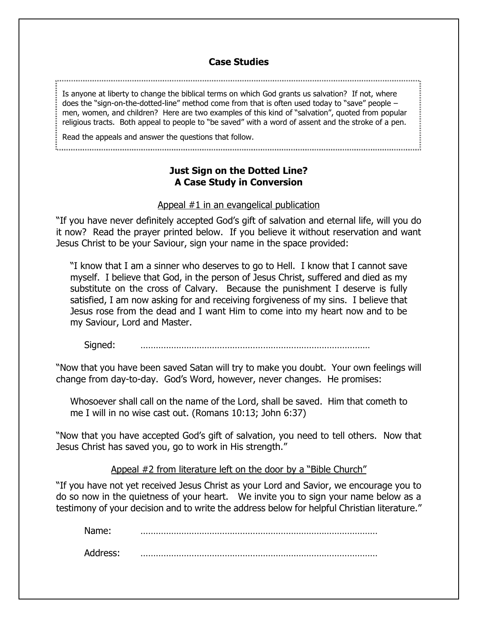## **Case Studies**

Is anyone at liberty to change the biblical terms on which God grants us salvation? If not, where does the "sign-on-the-dotted-line" method come from that is often used today to "save" people – men, women, and children? Here are two examples of this kind of "salvation", quoted from popular religious tracts. Both appeal to people to "be saved" with a word of assent and the stroke of a pen.

Read the appeals and answer the questions that follow.

# **Just Sign on the Dotted Line? A Case Study in Conversion**

### Appeal #1 in an evangelical publication

"If you have never definitely accepted God's gift of salvation and eternal life, will you do it now? Read the prayer printed below. If you believe it without reservation and want Jesus Christ to be your Saviour, sign your name in the space provided:

"I know that I am a sinner who deserves to go to Hell. I know that I cannot save myself. I believe that God, in the person of Jesus Christ, suffered and died as my substitute on the cross of Calvary. Because the punishment I deserve is fully satisfied, I am now asking for and receiving forgiveness of my sins. I believe that Jesus rose from the dead and I want Him to come into my heart now and to be my Saviour, Lord and Master.

Signed:

"Now that you have been saved Satan will try to make you doubt. Your own feelings will change from day-to-day. God's Word, however, never changes. He promises:

Whosoever shall call on the name of the Lord, shall be saved. Him that cometh to me I will in no wise cast out. (Romans 10:13; John 6:37)

"Now that you have accepted God's gift of salvation, you need to tell others. Now that Jesus Christ has saved you, go to work in His strength."

## Appeal #2 from literature left on the door by a "Bible Church"

"If you have not yet received Jesus Christ as your Lord and Savior, we encourage you to do so now in the quietness of your heart. We invite you to sign your name below as a testimony of your decision and to write the address below for helpful Christian literature."

Name: …………………………………………………………………………………

Address: …………………………………………………………………………………